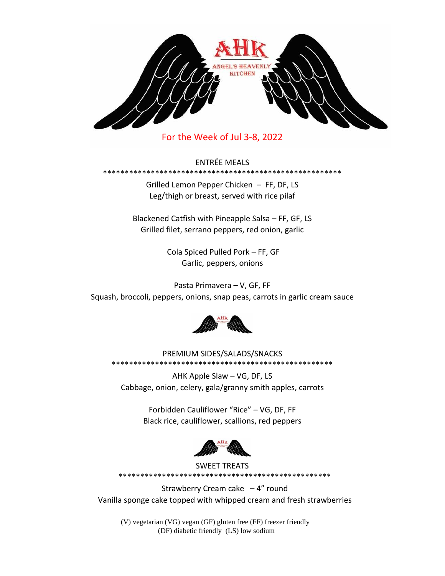

For the Week of Jul 3-8, 2022

ENTRÉE MEALS

\*\*\*\*\*\*\*\*\*\*\*\*\*\*\*\*

Grilled Lemon Pepper Chicken – FF, DF, LS Leg/thigh or breast, served with rice pilaf

Blackened Catfish with Pineapple Salsa – FF, GF, LS Grilled filet, serrano peppers, red onion, garlic

> Cola Spiced Pulled Pork – FF, GF Garlic, peppers, onions

Pasta Primavera – V, GF, FF Squash, broccoli, peppers, onions, snap peas, carrots in garlic cream sauce



PREMIUM SIDES/SALADS/SNACKS \*\*\*\*\*\*\*\*\*\*\*\*\*\*\*\*\*\*\*\*\*\*\*\*\*\*\*\*\*\*\*\*\*\*\*\*\*\*\*\*\*\*\*\*\*\*\*\*\*\*\*

AHK Apple Slaw – VG, DF, LS Cabbage, onion, celery, gala/granny smith apples, carrots

> Forbidden Cauliflower "Rice" – VG, DF, FF Black rice, cauliflower, scallions, red peppers



SWEET TREATS

\*\*\*\*\*\*\*\*\*\*\*\*\*\*\*\*\*\*\*\*\*\*\*\*\*\*\*\*\*\*\*\*\*\*\*\*\*\*\*\*\*\*\*\*\*\*\*\*\*

Strawberry Cream cake  $-4$ " round Vanilla sponge cake topped with whipped cream and fresh strawberries

(V) vegetarian (VG) vegan (GF) gluten free (FF) freezer friendly (DF) diabetic friendly (LS) low sodium